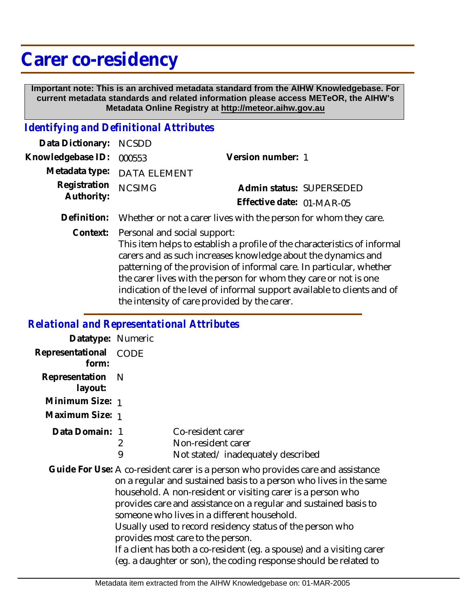## **Carer co-residency**

 **Important note: This is an archived metadata standard from the AIHW Knowledgebase. For current metadata standards and related information please access METeOR, the AIHW's Metadata Online Registry at http://meteor.aihw.gov.au**

## *Identifying and Definitional Attributes*

| Data Dictionary: NCSDD            |                             |                           |  |
|-----------------------------------|-----------------------------|---------------------------|--|
| Knowledgebase ID: 000553          |                             | Version number: 1         |  |
|                                   | Metadata type: DATA ELEMENT |                           |  |
| Registration NCSIMG<br>Authority: |                             | Admin status: SUPERSEDED  |  |
|                                   |                             | Effective date: 01-MAR-05 |  |
|                                   |                             |                           |  |

**Definition:** Whether or not a carer lives with the person for whom they care.

Context: Personal and social support:

This item helps to establish a profile of the characteristics of informal carers and as such increases knowledge about the dynamics and patterning of the provision of informal care. In particular, whether the carer lives with the person for whom they care or not is one indication of the level of informal support available to clients and of the intensity of care provided by the carer.

## *Relational and Representational Attributes*

| Datatype: Numeric         |             |                                                                                                                                                                                                                                                                                                                                                                                                                                                                                                                                                                                          |
|---------------------------|-------------|------------------------------------------------------------------------------------------------------------------------------------------------------------------------------------------------------------------------------------------------------------------------------------------------------------------------------------------------------------------------------------------------------------------------------------------------------------------------------------------------------------------------------------------------------------------------------------------|
| Representational<br>form: | <b>CODE</b> |                                                                                                                                                                                                                                                                                                                                                                                                                                                                                                                                                                                          |
| Representation<br>layout: | - N         |                                                                                                                                                                                                                                                                                                                                                                                                                                                                                                                                                                                          |
| Minimum Size: 1           |             |                                                                                                                                                                                                                                                                                                                                                                                                                                                                                                                                                                                          |
| Maximum Size: 1           |             |                                                                                                                                                                                                                                                                                                                                                                                                                                                                                                                                                                                          |
| Data Domain: 1            | 2<br>9      | Co-resident carer<br>Non-resident carer<br>Not stated/inadequately described                                                                                                                                                                                                                                                                                                                                                                                                                                                                                                             |
|                           |             | Guide For Use: A co-resident carer is a person who provides care and assistance<br>on a regular and sustained basis to a person who lives in the same<br>household. A non-resident or visiting carer is a person who<br>provides care and assistance on a regular and sustained basis to<br>someone who lives in a different household.<br>Usually used to record residency status of the person who<br>provides most care to the person.<br>If a client has both a co-resident (eg. a spouse) and a visiting carer<br>(eg. a daughter or son), the coding response should be related to |